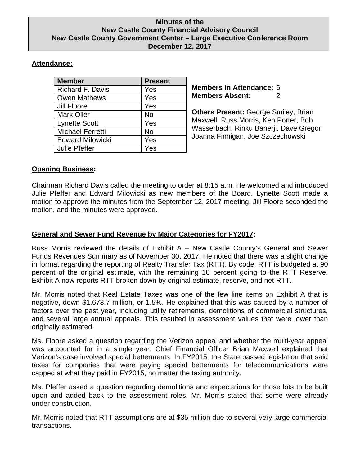#### **Minutes of the New Castle County Financial Advisory Council New Castle County Government Center – Large Executive Conference Room December 12, 2017**

# **Attendance:**

| <b>Member</b>           | <b>Present</b> |
|-------------------------|----------------|
| <b>Richard F. Davis</b> | Yes            |
| <b>Owen Mathews</b>     | Yes            |
| Jill Floore             | Yes            |
| <b>Mark Oller</b>       | No             |
| <b>Lynette Scott</b>    | Yes            |
| <b>Michael Ferretti</b> | No             |
| <b>Edward Milowicki</b> | Yes            |
| <b>Julie Pfeffer</b>    | Yes            |

**Members in Attendance:** 6 **Members Absent:** 2

**Others Present:** George Smiley, Brian Maxwell, Russ Morris, Ken Porter, Bob Wasserbach, Rinku Banerji, Dave Gregor, Joanna Finnigan, Joe Szczechowski

## **Opening Business:**

Chairman Richard Davis called the meeting to order at 8:15 a.m. He welcomed and introduced Julie Pfeffer and Edward Milowicki as new members of the Board. Lynette Scott made a motion to approve the minutes from the September 12, 2017 meeting. Jill Floore seconded the motion, and the minutes were approved.

# **General and Sewer Fund Revenue by Major Categories for FY2017:**

Russ Morris reviewed the details of Exhibit A – New Castle County's General and Sewer Funds Revenues Summary as of November 30, 2017. He noted that there was a slight change in format regarding the reporting of Realty Transfer Tax (RTT). By code, RTT is budgeted at 90 percent of the original estimate, with the remaining 10 percent going to the RTT Reserve. Exhibit A now reports RTT broken down by original estimate, reserve, and net RTT.

Mr. Morris noted that Real Estate Taxes was one of the few line items on Exhibit A that is negative, down \$1.673.7 million, or 1.5%. He explained that this was caused by a number of factors over the past year, including utility retirements, demolitions of commercial structures, and several large annual appeals. This resulted in assessment values that were lower than originally estimated.

Ms. Floore asked a question regarding the Verizon appeal and whether the multi-year appeal was accounted for in a single year. Chief Financial Officer Brian Maxwell explained that Verizon's case involved special betterments. In FY2015, the State passed legislation that said taxes for companies that were paying special betterments for telecommunications were capped at what they paid in FY2015, no matter the taxing authority.

Ms. Pfeffer asked a question regarding demolitions and expectations for those lots to be built upon and added back to the assessment roles. Mr. Morris stated that some were already under construction.

Mr. Morris noted that RTT assumptions are at \$35 million due to several very large commercial transactions.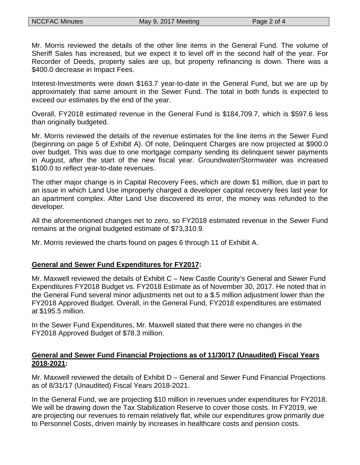Mr. Morris reviewed the details of the other line items in the General Fund. The volume of Sheriff Sales has increased, but we expect it to level off in the second half of the year. For Recorder of Deeds, property sales are up, but property refinancing is down. There was a \$400.0 decrease in Impact Fees.

Interest-Investments were down \$163.7 year-to-date in the General Fund, but we are up by approximately that same amount in the Sewer Fund. The total in both funds is expected to exceed our estimates by the end of the year.

Overall, FY2018 estimated revenue in the General Fund is \$184,709.7, which is \$597.6 less than originally budgeted.

Mr. Morris reviewed the details of the revenue estimates for the line items in the Sewer Fund (beginning on page 5 of Exhibit A). Of note, Delinquent Charges are now projected at \$900.0 over budget. This was due to one mortgage company sending its delinquent sewer payments in August, after the start of the new fiscal year. Groundwater/Stormwater was increased \$100.0 to reflect year-to-date revenues.

The other major change is in Capital Recovery Fees, which are down \$1 million, due in part to an issue in which Land Use improperly charged a developer capital recovery fees last year for an apartment complex. After Land Use discovered its error, the money was refunded to the developer.

All the aforementioned changes net to zero, so FY2018 estimated revenue in the Sewer Fund remains at the original budgeted estimate of \$73,310.9.

Mr. Morris reviewed the charts found on pages 6 through 11 of Exhibit A.

#### **General and Sewer Fund Expenditures for FY2017:**

Mr. Maxwell reviewed the details of Exhibit C – New Castle County's General and Sewer Fund Expenditures FY2018 Budget vs. FY2018 Estimate as of November 30, 2017. He noted that in the General Fund several minor adjustments net out to a \$.5 million adjustment lower than the FY2018 Approved Budget. Overall, in the General Fund, FY2018 expenditures are estimated at \$195.5 million.

In the Sewer Fund Expenditures, Mr. Maxwell stated that there were no changes in the FY2018 Approved Budget of \$78.3 million.

## **General and Sewer Fund Financial Projections as of 11/30/17 (Unaudited) Fiscal Years 2018-2021:**

Mr. Maxwell reviewed the details of Exhibit D – General and Sewer Fund Financial Projections as of 8/31/17 (Unaudited) Fiscal Years 2018-2021.

In the General Fund, we are projecting \$10 million in revenues under expenditures for FY2018. We will be drawing down the Tax Stabilization Reserve to cover those costs. In FY2019, we are projecting our revenues to remain relatively flat, while our expenditures grow primarily due to Personnel Costs, driven mainly by increases in healthcare costs and pension costs.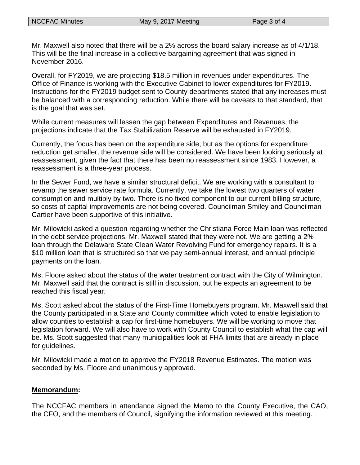Mr. Maxwell also noted that there will be a 2% across the board salary increase as of 4/1/18. This will be the final increase in a collective bargaining agreement that was signed in November 2016.

Overall, for FY2019, we are projecting \$18.5 million in revenues under expenditures. The Office of Finance is working with the Executive Cabinet to lower expenditures for FY2019. Instructions for the FY2019 budget sent to County departments stated that any increases must be balanced with a corresponding reduction. While there will be caveats to that standard, that is the goal that was set.

While current measures will lessen the gap between Expenditures and Revenues, the projections indicate that the Tax Stabilization Reserve will be exhausted in FY2019.

Currently, the focus has been on the expenditure side, but as the options for expenditure reduction get smaller, the revenue side will be considered. We have been looking seriously at reassessment, given the fact that there has been no reassessment since 1983. However, a reassessment is a three-year process.

In the Sewer Fund, we have a similar structural deficit. We are working with a consultant to revamp the sewer service rate formula. Currently, we take the lowest two quarters of water consumption and multiply by two. There is no fixed component to our current billing structure, so costs of capital improvements are not being covered. Councilman Smiley and Councilman Cartier have been supportive of this initiative.

Mr. Milowicki asked a question regarding whether the Christiana Force Main loan was reflected in the debt service projections. Mr. Maxwell stated that they were not. We are getting a 2% loan through the Delaware State Clean Water Revolving Fund for emergency repairs. It is a \$10 million loan that is structured so that we pay semi-annual interest, and annual principle payments on the loan.

Ms. Floore asked about the status of the water treatment contract with the City of Wilmington. Mr. Maxwell said that the contract is still in discussion, but he expects an agreement to be reached this fiscal year.

Ms. Scott asked about the status of the First-Time Homebuyers program. Mr. Maxwell said that the County participated in a State and County committee which voted to enable legislation to allow counties to establish a cap for first-time homebuyers. We will be working to move that legislation forward. We will also have to work with County Council to establish what the cap will be. Ms. Scott suggested that many municipalities look at FHA limits that are already in place for guidelines.

Mr. Milowicki made a motion to approve the FY2018 Revenue Estimates. The motion was seconded by Ms. Floore and unanimously approved.

## **Memorandum:**

The NCCFAC members in attendance signed the Memo to the County Executive, the CAO, the CFO, and the members of Council, signifying the information reviewed at this meeting.